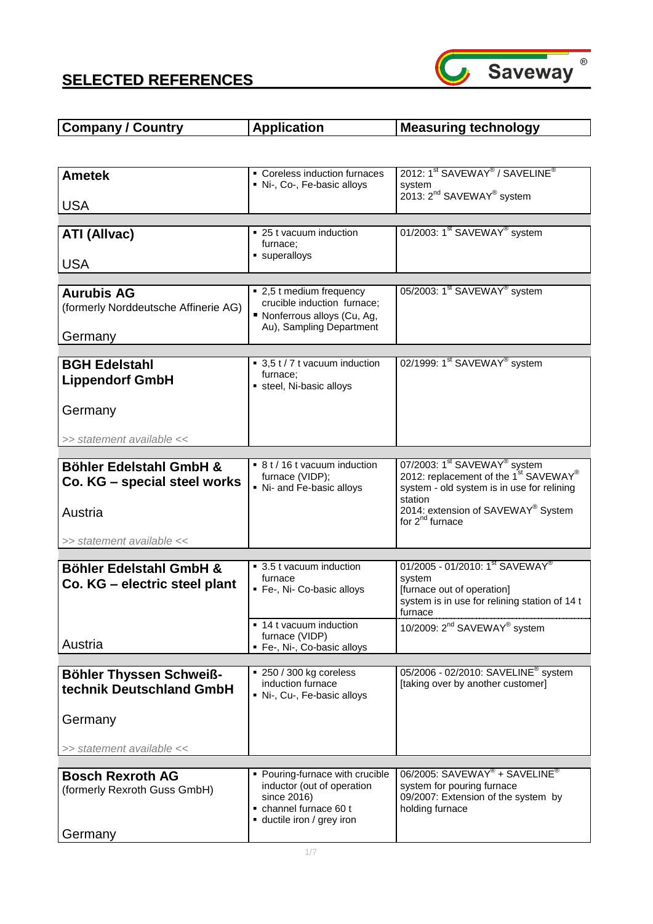

| <b>Company / Country</b>                                             | <b>Application</b>                                                                                                | <b>Measuring technology</b>                                                                                                                             |
|----------------------------------------------------------------------|-------------------------------------------------------------------------------------------------------------------|---------------------------------------------------------------------------------------------------------------------------------------------------------|
|                                                                      |                                                                                                                   |                                                                                                                                                         |
| <b>Ametek</b>                                                        | • Coreless induction furnaces<br>Ni-, Co-, Fe-basic alloys                                                        | 2012: 1 <sup>st</sup> SAVEWAY <sup>®</sup> / SAVELINE <sup>®</sup><br>system                                                                            |
| <b>USA</b>                                                           |                                                                                                                   | 2013: 2 <sup>nd</sup> SAVEWAY <sup>®</sup> system                                                                                                       |
| <b>ATI (Allvac)</b>                                                  | ■ 25 t vacuum induction<br>furnace:                                                                               | 01/2003: 1 <sup>st</sup> SAVEWAY <sup>®</sup> system                                                                                                    |
| <b>USA</b>                                                           | superalloys                                                                                                       |                                                                                                                                                         |
| <b>Aurubis AG</b><br>(formerly Norddeutsche Affinerie AG)<br>Germany | ■ 2,5 t medium frequency<br>crucible induction furnace;<br>Nonferrous alloys (Cu, Ag,<br>Au), Sampling Department | 05/2003: 1 <sup>st</sup> SAVEWAY <sup>®</sup> system                                                                                                    |
|                                                                      |                                                                                                                   |                                                                                                                                                         |
| <b>BGH Edelstahl</b><br><b>Lippendorf GmbH</b>                       | ■ 3,5 t / 7 t vacuum induction<br>furnace:<br>steel, Ni-basic alloys                                              | 02/1999: 1 <sup>st</sup> SAVEWAY <sup>®</sup> system                                                                                                    |
| Germany                                                              |                                                                                                                   |                                                                                                                                                         |
| >> statement available <<                                            |                                                                                                                   |                                                                                                                                                         |
| Böhler Edelstahl GmbH &<br>Co. KG – special steel works              | ■ 8 t / 16 t vacuum induction<br>furnace (VIDP);<br>• Ni- and Fe-basic alloys                                     | 07/2003: 1 <sup>st</sup> SAVEWAY <sup>®</sup> system<br>2012: replacement of the 1 <sup>st</sup> SAVEWAY®<br>system - old system is in use for relining |
| Austria                                                              |                                                                                                                   | station<br>2014: extension of SAVEWAY® System<br>for 2 <sup>nd</sup> furnace                                                                            |
| >> statement available <<                                            |                                                                                                                   |                                                                                                                                                         |
| Böhler Edelstahl GmbH &                                              | ■ 3.5 t vacuum induction                                                                                          | 01/2005 - 01/2010: 1 <sup>st</sup> SAVEWAY <sup>®</sup>                                                                                                 |
| Co. KG - electric steel plant                                        | furnace                                                                                                           | system                                                                                                                                                  |
|                                                                      | • Fe-, Ni- Co-basic alloys                                                                                        | [furnace out of operation]<br>system is in use for relining station of 14 t<br>furnace                                                                  |
| Austria                                                              | • 14 t vacuum induction<br>furnace (VIDP)<br>• Fe-, Ni-, Co-basic alloys                                          | 10/2009: 2 <sup>nd</sup> SAVEWAY <sup>®</sup> system                                                                                                    |
|                                                                      |                                                                                                                   |                                                                                                                                                         |
| Böhler Thyssen Schweiß-<br>technik Deutschland GmbH                  | ■ 250 / 300 kg coreless<br>induction furnace<br>Ni-, Cu-, Fe-basic alloys                                         | 05/2006 - 02/2010: SAVELINE <sup>®</sup> system<br>[taking over by another customer]                                                                    |
| Germany                                                              |                                                                                                                   |                                                                                                                                                         |
| >> statement available <<                                            |                                                                                                                   |                                                                                                                                                         |
|                                                                      | • Pouring-furnace with crucible                                                                                   | $06/2005$ : SAVEWAY <sup>®</sup> + SAVELINE <sup>®</sup>                                                                                                |
| <b>Bosch Rexroth AG</b><br>(formerly Rexroth Guss GmbH)              | inductor (out of operation<br>since 2016)<br>channel furnace 60 t<br>ductile iron / grey iron                     | system for pouring furnace<br>09/2007: Extension of the system by<br>holding furnace                                                                    |
| Germany                                                              |                                                                                                                   |                                                                                                                                                         |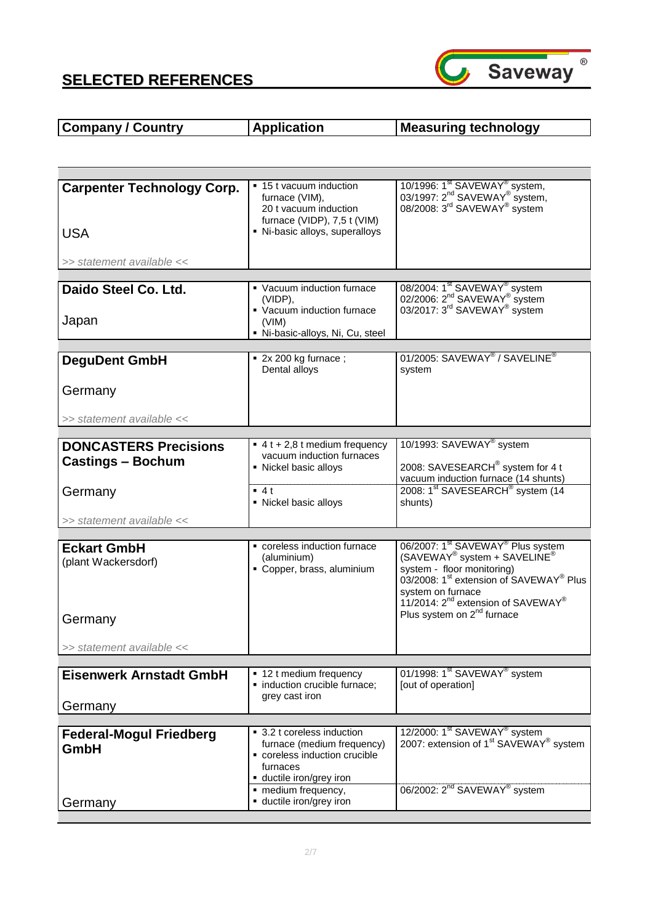

# **Company / Country | Application | Measuring technology**

| <b>Carpenter Technology Corp.</b> | ■ 15 t vacuum induction                                   | 10/1996: 1 <sup>st</sup> SAVEWAY <sup>®</sup> system,                                                                                                                |
|-----------------------------------|-----------------------------------------------------------|----------------------------------------------------------------------------------------------------------------------------------------------------------------------|
|                                   | furnace (VIM),<br>20 t vacuum induction                   | 03/1997: 2 <sup>nd</sup> SAVEWAY <sup>®</sup> system,<br>08/2008: 3 <sup>rd</sup> SAVEWAY <sup>®</sup> system                                                        |
|                                   | furnace (VIDP), 7,5 t (VIM)                               |                                                                                                                                                                      |
| <b>USA</b>                        | · Ni-basic alloys, superalloys                            |                                                                                                                                                                      |
| >> statement available <<         |                                                           |                                                                                                                                                                      |
| Daido Steel Co. Ltd.              | • Vacuum induction furnace                                |                                                                                                                                                                      |
|                                   | (VIDP).                                                   | 08/2004: 1 <sup>st</sup> SAVEWAY <sup>®</sup> system<br>02/2006: 2 <sup>nd</sup> SAVEWAY <sup>®</sup> system<br>03/2017: 3 <sup>rd</sup> SAVEWAY <sup>®</sup> system |
| Japan                             | • Vacuum induction furnace<br>(VIM)                       |                                                                                                                                                                      |
|                                   | Ni-basic-alloys, Ni, Cu, steel                            |                                                                                                                                                                      |
| <b>DeguDent GmbH</b>              | $\blacksquare$ 2x 200 kg furnace;                         | 01/2005: SAVEWAY <sup>®</sup> / SAVELINE <sup>®</sup>                                                                                                                |
|                                   | Dental alloys                                             | system                                                                                                                                                               |
| Germany                           |                                                           |                                                                                                                                                                      |
|                                   |                                                           |                                                                                                                                                                      |
| >> statement available <<         |                                                           |                                                                                                                                                                      |
| <b>DONCASTERS Precisions</b>      | $\bullet$ 4 t + 2,8 t medium frequency                    | 10/1993: SAVEWAY <sup>®</sup> system                                                                                                                                 |
| <b>Castings - Bochum</b>          | vacuum induction furnaces<br>• Nickel basic alloys        | 2008: SAVESEARCH® system for 4 t                                                                                                                                     |
|                                   |                                                           | vacuum induction furnace (14 shunts)                                                                                                                                 |
| Germany                           | $-4t$<br>• Nickel basic alloys                            | 2008: 1 <sup>st</sup> SAVESEARCH <sup>®</sup> system (14<br>shunts)                                                                                                  |
| >> statement available <<         |                                                           |                                                                                                                                                                      |
|                                   |                                                           |                                                                                                                                                                      |
| <b>Eckart GmbH</b>                | coreless induction furnace<br>(aluminium)                 | 06/2007: 1 <sup>st</sup> SAVEWAY <sup>®</sup> Plus system<br>(SAVEWAY <sup>®</sup> system + SAVELINE <sup>®</sup>                                                    |
| (plant Wackersdorf)               | Copper, brass, aluminium                                  | system - floor monitoring)                                                                                                                                           |
|                                   |                                                           | 03/2008: 1 <sup>st</sup> extension of SAVEWAY <sup>®</sup> Plus<br>system on furnace                                                                                 |
|                                   |                                                           | 11/2014: 2 <sup>nd</sup> extension of SAVEWAY®                                                                                                                       |
| Germany                           |                                                           | Plus system on 2 <sup>nd</sup> furnace                                                                                                                               |
| >> statement available <<         |                                                           |                                                                                                                                                                      |
|                                   |                                                           |                                                                                                                                                                      |
| <b>Eisenwerk Arnstadt GmbH</b>    | • 12 t medium frequency<br>· induction crucible furnace;  | 01/1998: 1 <sup>st</sup> SAVEWAY <sup>®</sup> system<br>[out of operation]                                                                                           |
|                                   | grey cast iron                                            |                                                                                                                                                                      |
| Germany                           |                                                           |                                                                                                                                                                      |
| <b>Federal-Mogul Friedberg</b>    | ■ 3.2 t coreless induction                                | 12/2000: 1 <sup>st</sup> SAVEWAY <sup>®</sup> system                                                                                                                 |
| GmbH                              | furnace (medium frequency)<br>coreless induction crucible | 2007: extension of 1 <sup>st</sup> SAVEWAY <sup>®</sup> system                                                                                                       |
|                                   | furnaces                                                  |                                                                                                                                                                      |
|                                   | · ductile iron/grey iron<br>• medium frequency,           | 06/2002: 2 <sup>nd</sup> SAVEWAY <sup>®</sup> system                                                                                                                 |
| Germany                           | ductile iron/grey iron                                    |                                                                                                                                                                      |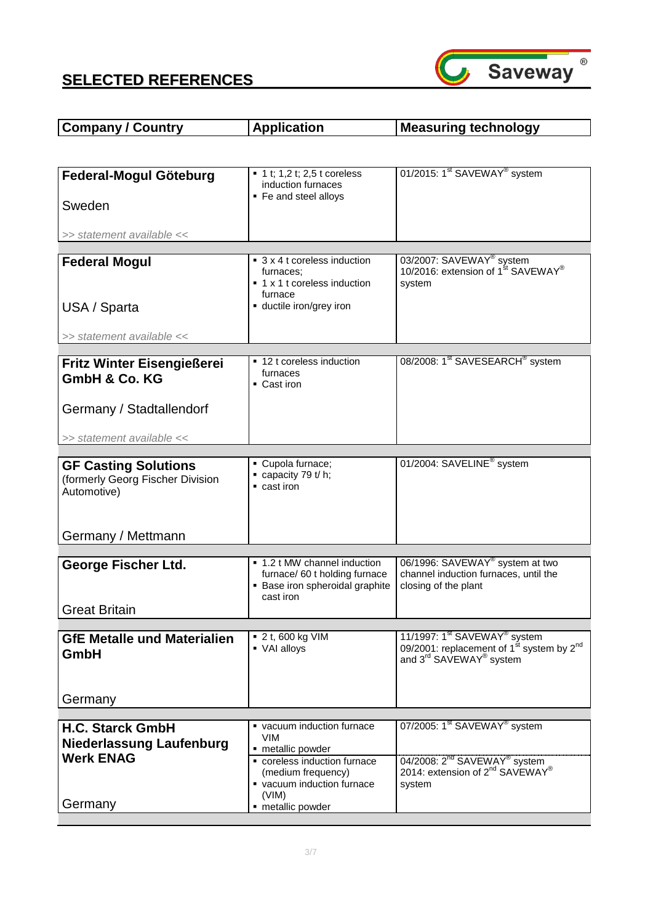

| <b>Company / Country</b>                                      | <b>Application</b>                                                                                            | <b>Measuring technology</b>                                                                                               |
|---------------------------------------------------------------|---------------------------------------------------------------------------------------------------------------|---------------------------------------------------------------------------------------------------------------------------|
|                                                               |                                                                                                               |                                                                                                                           |
| Federal-Mogul Göteburg                                        | $\blacksquare$ 1 t; 1,2 t; 2,5 t coreless<br>induction furnaces<br>• Fe and steel alloys                      | 01/2015: 1 <sup>st</sup> SAVEWAY <sup>®</sup> system                                                                      |
| Sweden                                                        |                                                                                                               |                                                                                                                           |
| >> statement available <<                                     |                                                                                                               |                                                                                                                           |
|                                                               | ■ 3 x 4 t coreless induction                                                                                  | 03/2007: SAVEWAY <sup>®</sup> system                                                                                      |
| <b>Federal Mogul</b>                                          | furnaces:<br>■ 1 x 1 t coreless induction<br>furnace                                                          | 10/2016: extension of 1 <sup>st</sup> SAVEWAY <sup>®</sup><br>system                                                      |
| USA / Sparta                                                  | ductile iron/grey iron                                                                                        |                                                                                                                           |
| >> statement available <<                                     |                                                                                                               |                                                                                                                           |
|                                                               | ■ 12 t coreless induction                                                                                     | 08/2008: 1 <sup>st</sup> SAVESEARCH <sup>®</sup> system                                                                   |
| <b>Fritz Winter Eisengießerei</b><br><b>GmbH &amp; Co. KG</b> | furnaces<br>• Cast iron                                                                                       |                                                                                                                           |
| Germany / Stadtallendorf                                      |                                                                                                               |                                                                                                                           |
| >> statement available <<                                     |                                                                                                               |                                                                                                                           |
| <b>GF Casting Solutions</b>                                   | Cupola furnace;                                                                                               | 01/2004: SAVELINE <sup>®</sup> system                                                                                     |
| (formerly Georg Fischer Division<br>Automotive)               | $\bullet$ capacity 79 t/h;<br>$\blacksquare$ cast iron                                                        |                                                                                                                           |
| Germany / Mettmann                                            |                                                                                                               |                                                                                                                           |
|                                                               |                                                                                                               |                                                                                                                           |
| George Fischer Ltd.                                           | ■ 1.2 t MW channel induction<br>furnace/ 60 t holding furnace<br>• Base iron spheroidal graphite<br>cast iron | 06/1996: SAVEWAY <sup>®</sup> system at two<br>channel induction furnaces, until the<br>closing of the plant              |
| <b>Great Britain</b>                                          |                                                                                                               |                                                                                                                           |
| <b>GfE Metalle und Materialien</b>                            | ■ 2 t, 600 kg VIM                                                                                             | 11/1997: 1 <sup>st</sup> SAVEWAY <sup>®</sup> system                                                                      |
| GmbH                                                          | • VAI alloys                                                                                                  | 09/2001: replacement of $1^{st}$ system by $2^{nd}$<br>and $3^{rd}$ SAVEWAY <sup>®</sup> system                           |
| Germany                                                       |                                                                                                               |                                                                                                                           |
|                                                               | vacuum induction furnace                                                                                      | 07/2005: 1 <sup>st</sup> SAVEWAY <sup>®</sup> system                                                                      |
| <b>H.C. Starck GmbH</b><br><b>Niederlassung Laufenburg</b>    | <b>VIM</b><br>- metallic powder                                                                               |                                                                                                                           |
| <b>Werk ENAG</b>                                              | coreless induction furnace<br>(medium frequency)<br>vacuum induction furnace<br>(VIM)                         | 04/2008: 2 <sup>nd</sup> SAVEWAY <sup>®</sup> system<br>2014: extension of 2 <sup>nd</sup> SAVEWAY <sup>®</sup><br>system |
| Germany                                                       | - metallic powder                                                                                             |                                                                                                                           |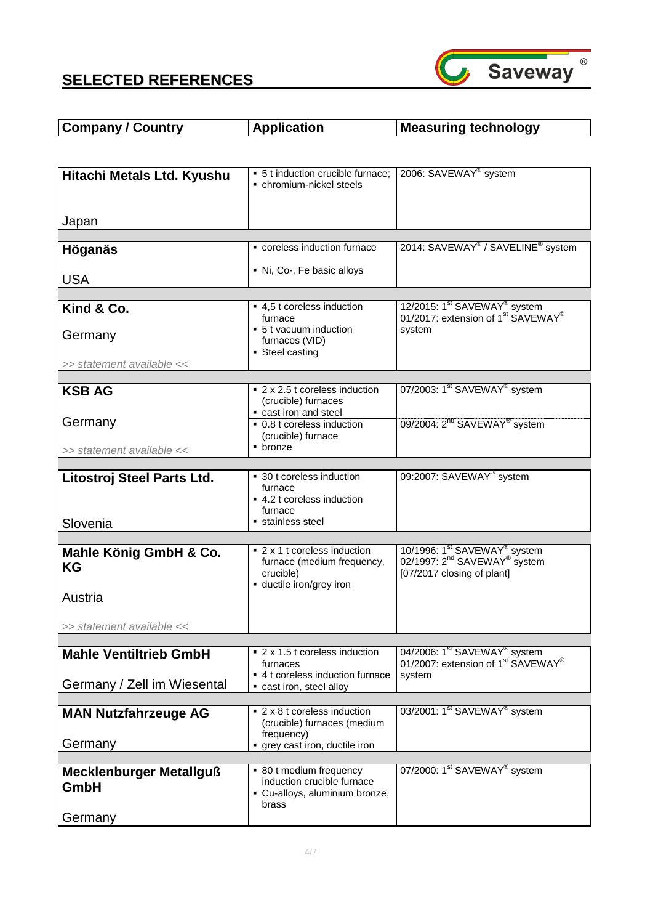

| <b>Application</b><br><b>Company / Country</b><br>Measuring technology |
|------------------------------------------------------------------------|
|------------------------------------------------------------------------|

| Hitachi Metals Ltd. Kyushu     | • 5 t induction crucible furnace;<br>• chromium-nickel steels | 2006: SAVEWAY <sup>®</sup> system                                                                                  |
|--------------------------------|---------------------------------------------------------------|--------------------------------------------------------------------------------------------------------------------|
|                                |                                                               |                                                                                                                    |
| Japan                          |                                                               |                                                                                                                    |
|                                |                                                               |                                                                                                                    |
| Höganäs                        | coreless induction furnace                                    | 2014: SAVEWAY <sup>®</sup> / SAVELINE <sup>®</sup> system                                                          |
| <b>USA</b>                     | Ni, Co-, Fe basic alloys                                      |                                                                                                                    |
|                                |                                                               |                                                                                                                    |
| Kind & Co.                     | ■ 4,5 t coreless induction<br>furnace                         | 12/2015: $1^{\text{st}}$ SAVEWAY <sup>®</sup> system<br>01/2017: extension of $1^{\text{st}}$ SAVEWAY <sup>®</sup> |
| Germany                        | • 5 t vacuum induction                                        | system                                                                                                             |
|                                | furnaces (VID)<br>• Steel casting                             |                                                                                                                    |
| >> statement available <<      |                                                               |                                                                                                                    |
|                                | ■ 2 x 2.5 t coreless induction                                | 07/2003: 1 <sup>st</sup> SAVEWAY <sup>®</sup> system                                                               |
| <b>KSB AG</b>                  | (crucible) furnaces<br>cast iron and steel                    |                                                                                                                    |
| Germany                        | ■ 0.8 t coreless induction                                    | 09/2004: 2 <sup>nd</sup> SAVEWAY <sup>®</sup> system                                                               |
| >> statement available <<      | (crucible) furnace<br>$\blacksquare$ bronze                   |                                                                                                                    |
|                                |                                                               |                                                                                                                    |
| Litostroj Steel Parts Ltd.     | • 30 t coreless induction<br>furnace                          | 09:2007: SAVEWAY <sup>®</sup> system                                                                               |
|                                | ■ 4.2 t coreless induction<br>furnace                         |                                                                                                                    |
| Slovenia                       | stainless steel                                               |                                                                                                                    |
|                                |                                                               |                                                                                                                    |
| Mahle König GmbH & Co.         | ■ 2 x 1 t coreless induction                                  | 10/1996: 1 <sup>st</sup> SAVEWAY <sup>®</sup> system                                                               |
| KG                             | furnace (medium frequency,<br>crucible)                       | 02/1997: 2 <sup>nd</sup> SAVEWAY <sup>®</sup> system<br>[07/2017 closing of plant]                                 |
|                                | ductile iron/grey iron                                        |                                                                                                                    |
| Austria                        |                                                               |                                                                                                                    |
| >> statement available <<      |                                                               |                                                                                                                    |
| <b>Mahle Ventiltrieb GmbH</b>  | ■ 2 x 1.5 t coreless induction                                | 04/2006: 1 <sup>st</sup> SAVEWAY <sup>®</sup> system                                                               |
|                                | furnaces                                                      | 01/2007: extension of 1 <sup>st</sup> SAVEWAY <sup>®</sup>                                                         |
|                                | ■ 4 t coreless induction furnace                              | system                                                                                                             |
| Germany / Zell im Wiesental    | cast iron, steel alloy                                        |                                                                                                                    |
| <b>MAN Nutzfahrzeuge AG</b>    | ■ 2 x 8 t coreless induction                                  | 03/2001: 1 <sup>st</sup> SAVEWAY <sup>®</sup> system                                                               |
|                                | (crucible) furnaces (medium<br>frequency)                     |                                                                                                                    |
| Germany                        | grey cast iron, ductile iron                                  |                                                                                                                    |
|                                |                                                               |                                                                                                                    |
| <b>Mecklenburger Metallguß</b> | • 80 t medium frequency                                       | 07/2000: 1 <sup>st</sup> SAVEWAY <sup>®</sup> system                                                               |
| GmbH                           | induction crucible furnace<br>• Cu-alloys, aluminium bronze,  |                                                                                                                    |
|                                | brass                                                         |                                                                                                                    |
| Germany                        |                                                               |                                                                                                                    |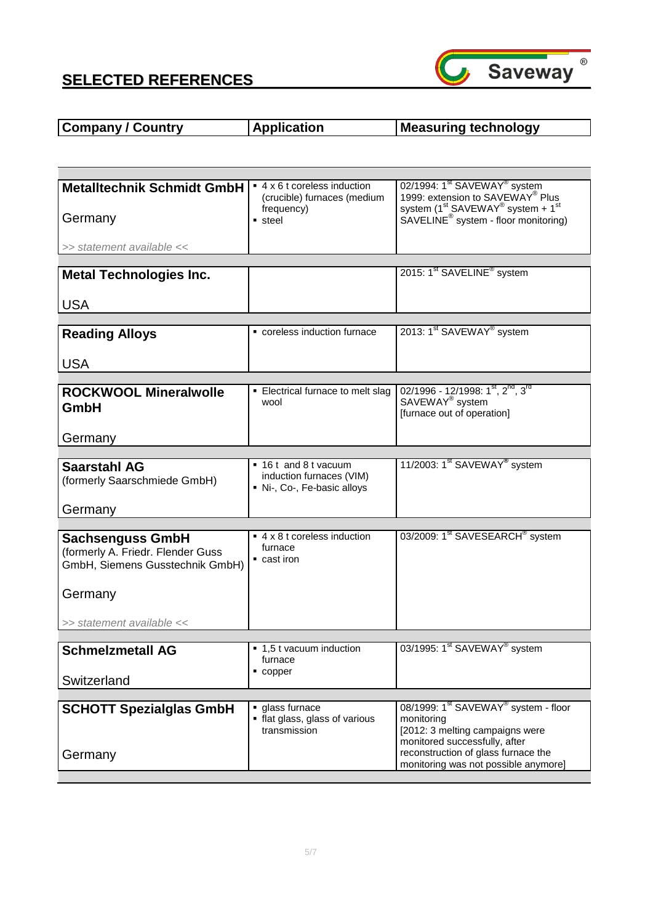

#### **Company / Country | Application | Measuring technology**

| <b>Metalltechnik Schmidt GmbH</b> | ■ 4 x 6 t coreless induction<br>(crucible) furnaces (medium<br>frequency) | 02/1994: 1 <sup>st</sup> SAVEWAY <sup>®</sup> system<br>1999: extension to SAVEWAY® Plus<br>system $(1^{st}$ SAVEWAY <sup>®</sup> system + 1 <sup>st</sup> |
|-----------------------------------|---------------------------------------------------------------------------|------------------------------------------------------------------------------------------------------------------------------------------------------------|
| Germany                           | • steel                                                                   | SAVELINE <sup>®</sup> system - floor monitoring)                                                                                                           |
| >> statement available <<         |                                                                           |                                                                                                                                                            |
|                                   |                                                                           |                                                                                                                                                            |
| <b>Metal Technologies Inc.</b>    |                                                                           | 2015: 1 <sup>st</sup> SAVELINE <sup>®</sup> system                                                                                                         |
| <b>USA</b>                        |                                                                           |                                                                                                                                                            |
|                                   |                                                                           |                                                                                                                                                            |
| <b>Reading Alloys</b>             | coreless induction furnace                                                | 2013: 1 <sup>st</sup> SAVEWAY <sup>®</sup> system                                                                                                          |
| <b>USA</b>                        |                                                                           |                                                                                                                                                            |
|                                   |                                                                           |                                                                                                                                                            |
| <b>ROCKWOOL Mineralwolle</b>      | • Electrical furnace to melt slag                                         | 02/1996 - 12/1998: 1st, 2nd, 3rd                                                                                                                           |
| GmbH                              | wool                                                                      | SAVEWAY <sup>®</sup> system<br>[furnace out of operation]                                                                                                  |
|                                   |                                                                           |                                                                                                                                                            |
| Germany                           |                                                                           |                                                                                                                                                            |
|                                   |                                                                           |                                                                                                                                                            |
| <b>Saarstahl AG</b>               | ■ 16 t and 8 t vacuum                                                     | 11/2003: 1 <sup>st</sup> SAVEWAY <sup>®</sup> system                                                                                                       |
| (formerly Saarschmiede GmbH)      | induction furnaces (VIM)<br>Ni-, Co-, Fe-basic alloys                     |                                                                                                                                                            |
| Germany                           |                                                                           |                                                                                                                                                            |
|                                   |                                                                           |                                                                                                                                                            |
| <b>Sachsenguss GmbH</b>           | ■ 4 x 8 t coreless induction                                              | 03/2009: 1 <sup>st</sup> SAVESEARCH <sup>®</sup> system                                                                                                    |
| (formerly A. Friedr. Flender Guss | furnace<br>$\blacksquare$ cast iron                                       |                                                                                                                                                            |
| GmbH, Siemens Gusstechnik GmbH)   |                                                                           |                                                                                                                                                            |
|                                   |                                                                           |                                                                                                                                                            |
| Germany                           |                                                                           |                                                                                                                                                            |
| >> statement available <<         |                                                                           |                                                                                                                                                            |
|                                   |                                                                           |                                                                                                                                                            |
| <b>Schmelzmetall AG</b>           | ■ 1,5 t vacuum induction<br>furnace                                       | 03/1995: 1 <sup>st</sup> SAVEWAY <sup>®</sup> system                                                                                                       |
|                                   | $\blacksquare$ copper                                                     |                                                                                                                                                            |
| Switzerland                       |                                                                           |                                                                                                                                                            |
|                                   |                                                                           | 08/1999: 1 <sup>st</sup> SAVEWAY <sup>®</sup> system - floor                                                                                               |
| <b>SCHOTT Spezialglas GmbH</b>    | glass furnace<br>• flat glass, glass of various                           | monitoring                                                                                                                                                 |
|                                   | transmission                                                              | [2012: 3 melting campaigns were                                                                                                                            |
|                                   |                                                                           | monitored successfully, after                                                                                                                              |
| Germany                           |                                                                           | reconstruction of glass furnace the<br>monitoring was not possible anymore]                                                                                |
|                                   |                                                                           |                                                                                                                                                            |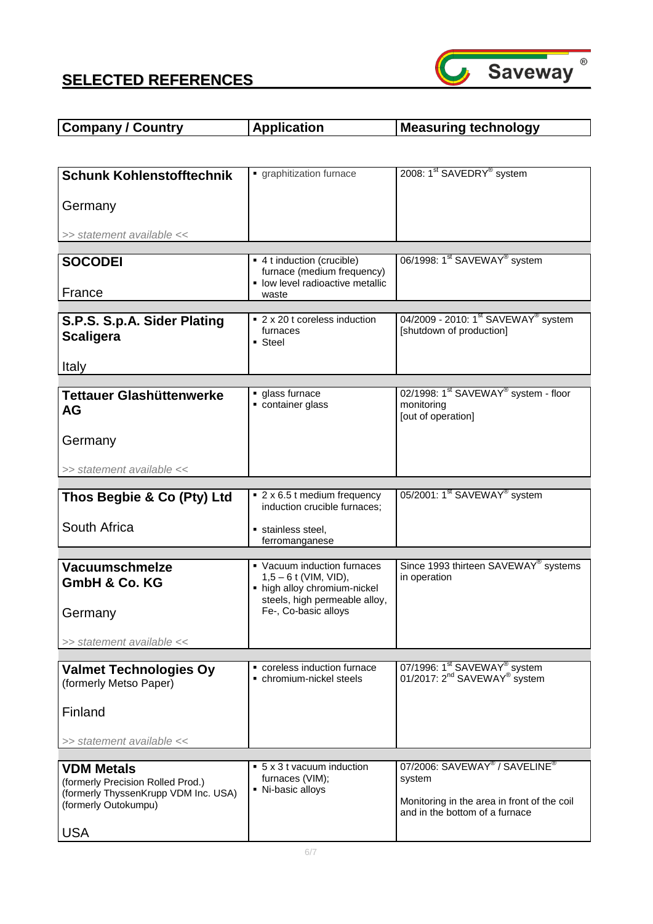

| <b>Company / Country</b> | <b>Application</b> | Measuring technology |
|--------------------------|--------------------|----------------------|
|                          |                    |                      |

| <b>Schunk Kohlenstofftechnik</b>                             | graphitization furnace                                         | 2008: 1 <sup>st</sup> SAVEDRY <sup>®</sup> system                                                |
|--------------------------------------------------------------|----------------------------------------------------------------|--------------------------------------------------------------------------------------------------|
| Germany                                                      |                                                                |                                                                                                  |
|                                                              |                                                                |                                                                                                  |
| >> statement available <<                                    |                                                                |                                                                                                  |
| <b>SOCODEI</b>                                               | ■ 4 t induction (crucible)                                     | 06/1998: 1 <sup>st</sup> SAVEWAY <sup>®</sup> system                                             |
|                                                              | furnace (medium frequency)<br>• low level radioactive metallic |                                                                                                  |
| France                                                       | waste                                                          |                                                                                                  |
| S.P.S. S.p.A. Sider Plating<br><b>Scaligera</b><br>Italy     | ■ 2 x 20 t coreless induction<br>furnaces<br>• Steel           | 04/2009 - 2010: 1 <sup>st</sup> SAVEWAY <sup>®</sup> system<br>[shutdown of production]          |
|                                                              |                                                                |                                                                                                  |
| Tettauer Glashüttenwerke<br>AG                               | glass furnace<br>container glass                               | 02/1998: 1 <sup>st</sup> SAVEWAY <sup>®</sup> system - floor<br>monitoring<br>[out of operation] |
| Germany                                                      |                                                                |                                                                                                  |
| >> statement available <<                                    |                                                                |                                                                                                  |
| Thos Begbie & Co (Pty) Ltd                                   | ■ 2 x 6.5 t medium frequency                                   | 05/2001: 1 <sup>st</sup> SAVEWAY <sup>®</sup> system                                             |
|                                                              | induction crucible furnaces;                                   |                                                                                                  |
| South Africa                                                 | stainless steel,<br>ferromanganese                             |                                                                                                  |
|                                                              |                                                                |                                                                                                  |
| <b>Vacuumschmelze</b><br>GmbH & Co. KG                       | • Vacuum induction furnaces<br>$1,5 - 6$ t (VIM, VID),         | Since 1993 thirteen SAVEWAY <sup>®</sup> systems<br>in operation                                 |
|                                                              | • high alloy chromium-nickel<br>steels, high permeable alloy,  |                                                                                                  |
| Germany                                                      | Fe-, Co-basic alloys                                           |                                                                                                  |
| >> statement available <<                                    |                                                                |                                                                                                  |
| <b>Valmet Technologies Oy</b>                                | coreless induction furnace                                     | 07/1996: 1 <sup>st</sup> SAVEWAY <sup>®</sup> system                                             |
| (formerly Metso Paper)                                       | • chromium-nickel steels                                       | 01/2017: 2 <sup>nd</sup> SAVEWAY <sup>®</sup> system                                             |
| Finland                                                      |                                                                |                                                                                                  |
| >> statement available <<                                    |                                                                |                                                                                                  |
| <b>VDM Metals</b>                                            | $\bullet$ 5 x 3 t vacuum induction                             | 07/2006: SAVEWAY <sup>®</sup> / SAVELINE <sup>®</sup>                                            |
| (formerly Precision Rolled Prod.)                            | furnaces (VIM);                                                | system                                                                                           |
| (formerly ThyssenKrupp VDM Inc. USA)<br>(formerly Outokumpu) | • Ni-basic alloys                                              | Monitoring in the area in front of the coil<br>and in the bottom of a furnace                    |
| <b>USA</b>                                                   |                                                                |                                                                                                  |